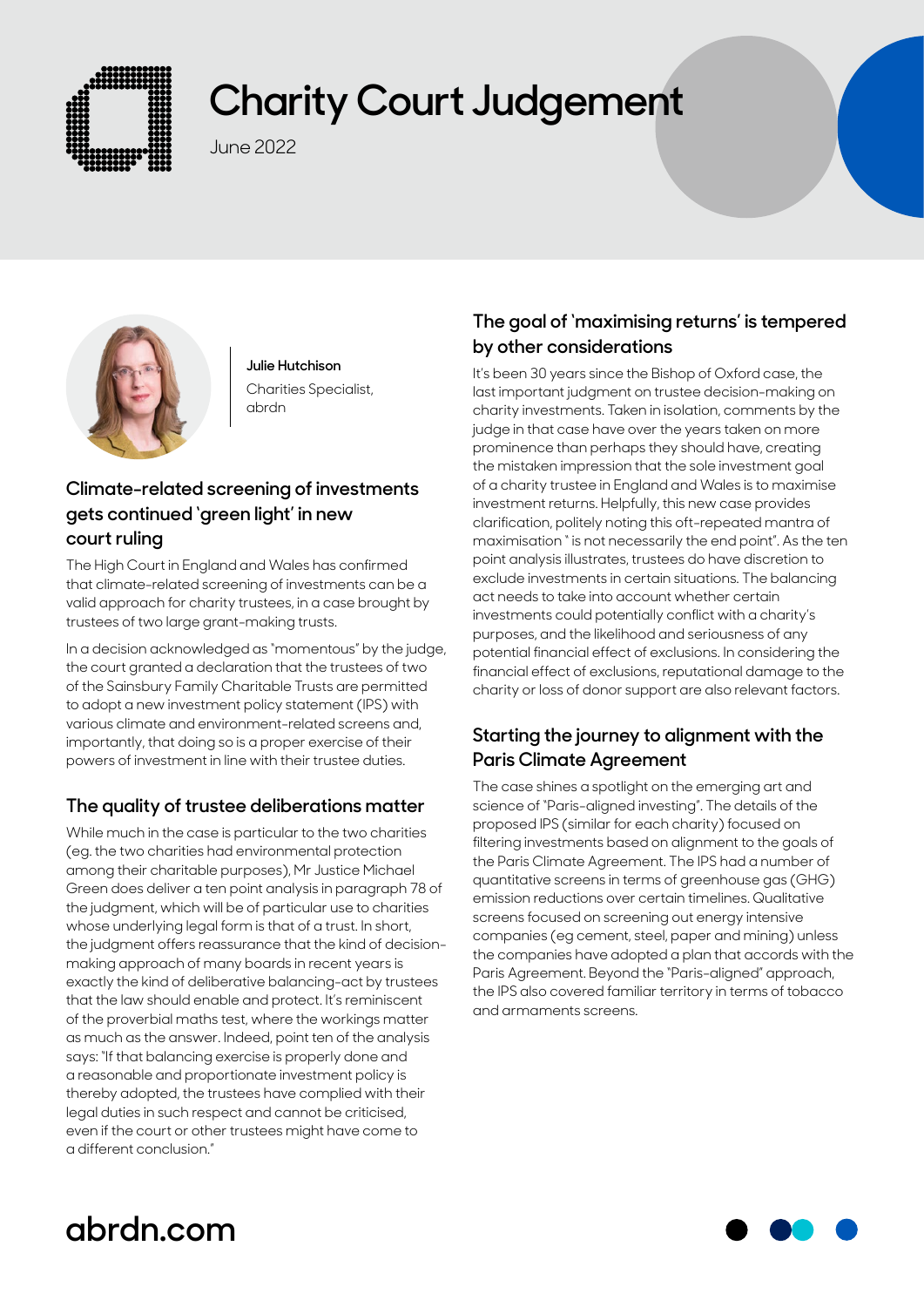

# **Charity Court Judgement**

June 2022



**Julie Hutchison** Charities Specialist, abrdn

### **Climate-related screening of investments gets continued 'green light' in new court ruling**

The High Court in England and Wales has confirmed that climate-related screening of investments can be a valid approach for charity trustees, in a case brought by trustees of two large grant-making trusts.

In a decision acknowledged as "momentous" by the judge, the court granted a declaration that the trustees of two of the Sainsbury Family Charitable Trusts are permitted to adopt a new investment policy statement (IPS) with various climate and environment-related screens and, importantly, that doing so is a proper exercise of their powers of investment in line with their trustee duties.

### **The quality of trustee deliberations matter**

While much in the case is particular to the two charities (eg. the two charities had environmental protection among their charitable purposes), Mr Justice Michael Green does deliver a ten point analysis in paragraph 78 of the judgment, which will be of particular use to charities whose underlying legal form is that of a trust. In short, the judgment offers reassurance that the kind of decisionmaking approach of many boards in recent years is exactly the kind of deliberative balancing-act by trustees that the law should enable and protect. It's reminiscent of the proverbial maths test, where the workings matter as much as the answer. Indeed, point ten of the analysis says: "If that balancing exercise is properly done and a reasonable and proportionate investment policy is thereby adopted, the trustees have complied with their legal duties in such respect and cannot be criticised, even if the court or other trustees might have come to a different conclusion."

#### **The goal of 'maximising returns' is tempered by other considerations**

It's been 30 years since the Bishop of Oxford case, the last important judgment on trustee decision-making on charity investments. Taken in isolation, comments by the judge in that case have over the years taken on more prominence than perhaps they should have, creating the mistaken impression that the sole investment goal of a charity trustee in England and Wales is to maximise investment returns. Helpfully, this new case provides clarification, politely noting this oft-repeated mantra of maximisation " is not necessarily the end point". As the ten point analysis illustrates, trustees do have discretion to exclude investments in certain situations. The balancing act needs to take into account whether certain investments could potentially conflict with a charity's purposes, and the likelihood and seriousness of any potential financial effect of exclusions. In considering the financial effect of exclusions, reputational damage to the charity or loss of donor support are also relevant factors.

#### **Starting the journey to alignment with the Paris Climate Agreement**

The case shines a spotlight on the emerging art and science of "Paris-aligned investing". The details of the proposed IPS (similar for each charity) focused on filtering investments based on alignment to the goals of the Paris Climate Agreement. The IPS had a number of quantitative screens in terms of greenhouse gas (GHG) emission reductions over certain timelines. Qualitative screens focused on screening out energy intensive companies (eg cement, steel, paper and mining) unless the companies have adopted a plan that accords with the Paris Agreement. Beyond the "Paris-aligned" approach, the IPS also covered familiar territory in terms of tobacco and armaments screens.

## **abrdn.com**

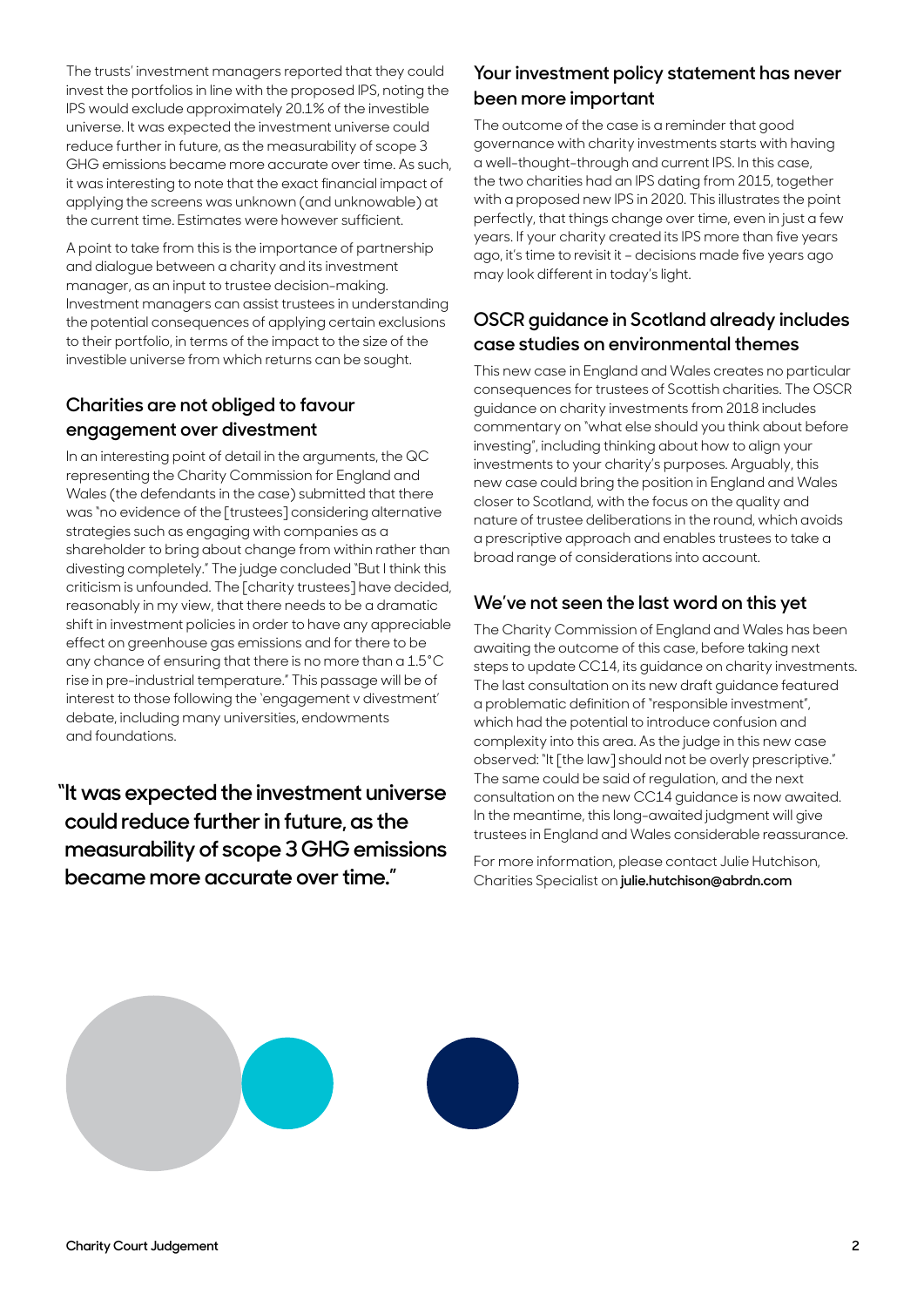The trusts' investment managers reported that they could invest the portfolios in line with the proposed IPS, noting the IPS would exclude approximately 20.1% of the investible universe. It was expected the investment universe could reduce further in future, as the measurability of scope 3 GHG emissions became more accurate over time. As such, it was interesting to note that the exact financial impact of applying the screens was unknown (and unknowable) at the current time. Estimates were however sufficient.

A point to take from this is the importance of partnership and dialogue between a charity and its investment manager, as an input to trustee decision-making. Investment managers can assist trustees in understanding the potential consequences of applying certain exclusions to their portfolio, in terms of the impact to the size of the investible universe from which returns can be sought.

#### **Charities are not obliged to favour engagement over divestment**

In an interesting point of detail in the arguments, the QC representing the Charity Commission for England and Wales (the defendants in the case) submitted that there was "no evidence of the [trustees] considering alternative strategies such as engaging with companies as a shareholder to bring about change from within rather than divesting completely." The judge concluded "But I think this criticism is unfounded. The [charity trustees] have decided, reasonably in my view, that there needs to be a dramatic shift in investment policies in order to have any appreciable effect on greenhouse gas emissions and for there to be any chance of ensuring that there is no more than a 1.5°C rise in pre-industrial temperature." This passage will be of interest to those following the 'engagement v divestment' debate, including many universities, endowments and foundations.

**"It was expected the investment universe could reduce further in future, as the measurability of scope 3 GHG emissions became more accurate over time."**

#### **Your investment policy statement has never been more important**

The outcome of the case is a reminder that good governance with charity investments starts with having a well-thought-through and current IPS. In this case, the two charities had an IPS dating from 2015, together with a proposed new IPS in 2020. This illustrates the point perfectly, that things change over time, even in just a few years. If your charity created its IPS more than five years ago, it's time to revisit it – decisions made five years ago may look different in today's light.

#### **OSCR guidance in Scotland already includes case studies on environmental themes**

This new case in England and Wales creates no particular consequences for trustees of Scottish charities. The OSCR guidance on charity investments from 2018 includes commentary on "what else should you think about before investing", including thinking about how to align your investments to your charity's purposes. Arguably, this new case could bring the position in England and Wales closer to Scotland, with the focus on the quality and nature of trustee deliberations in the round, which avoids a prescriptive approach and enables trustees to take a broad range of considerations into account.

#### **We've not seen the last word on this yet**

The Charity Commission of England and Wales has been awaiting the outcome of this case, before taking next steps to update CC14, its guidance on charity investments. The last consultation on its new draft guidance featured a problematic definition of "responsible investment", which had the potential to introduce confusion and complexity into this area. As the judge in this new case observed: "It [the law] should not be overly prescriptive." The same could be said of regulation, and the next consultation on the new CC14 guidance is now awaited. In the meantime, this long-awaited judgment will give trustees in England and Wales considerable reassurance.

For more information, please contact Julie Hutchison, Charities Specialist on **[julie.hutchison@abrdn.com](mailto:julie.hutchison%40abrdn.com?subject=)**